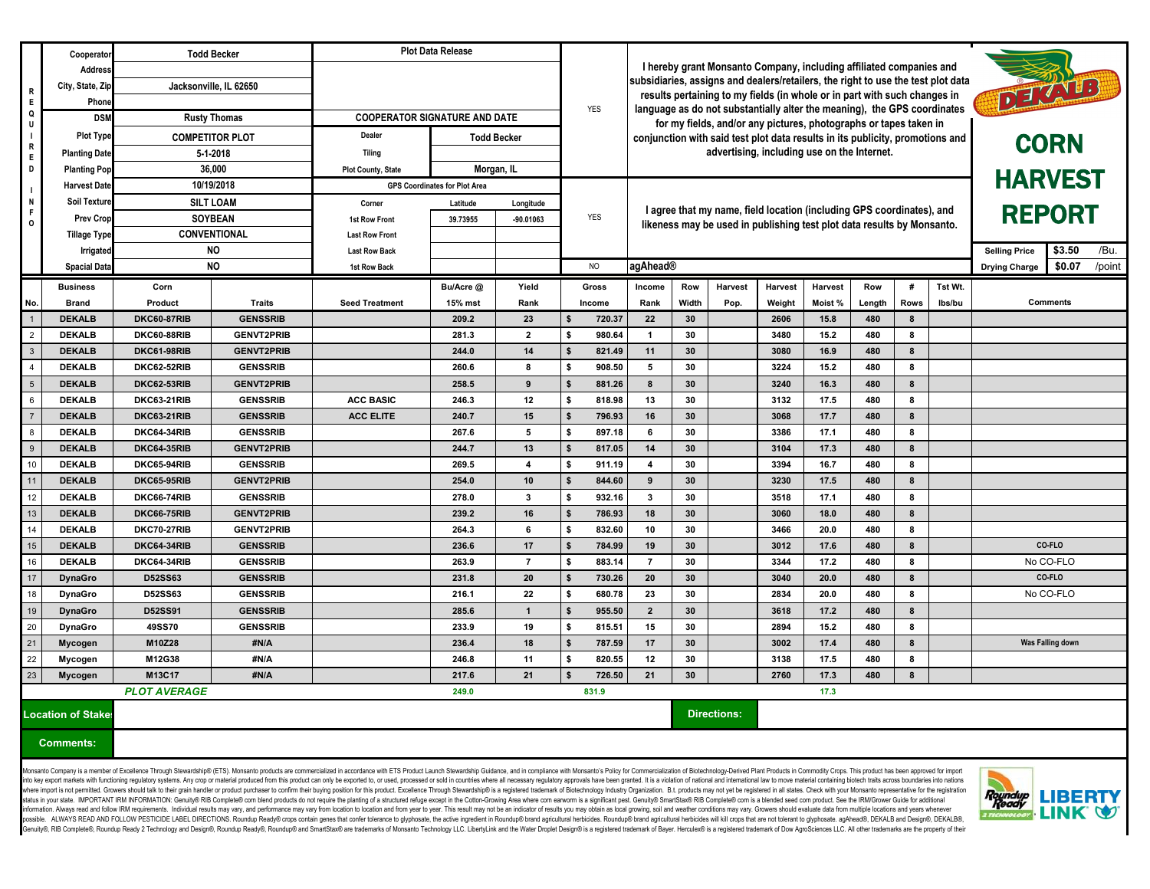|                                 | Cooperator           | <b>Todd Becker</b>                     |                   | <b>Plot Data Release</b>             |                    |                                                                                     |                                                                     |                                                                                                                                                                                                                    |                 |                    |                |                |            |                  |                |  |                  |
|---------------------------------|----------------------|----------------------------------------|-------------------|--------------------------------------|--------------------|-------------------------------------------------------------------------------------|---------------------------------------------------------------------|--------------------------------------------------------------------------------------------------------------------------------------------------------------------------------------------------------------------|-----------------|--------------------|----------------|----------------|------------|------------------|----------------|--|------------------|
|                                 | <b>Address</b>       |                                        |                   |                                      |                    |                                                                                     | I hereby grant Monsanto Company, including affiliated companies and |                                                                                                                                                                                                                    |                 |                    |                |                |            |                  |                |  |                  |
| $\overline{R}$                  | City, State, Zip     | Jacksonville, IL 62650<br><b>Phone</b> |                   |                                      | <b>YES</b>         | subsidiaries, assigns and dealers/retailers, the right to use the test plot data    |                                                                     |                                                                                                                                                                                                                    |                 |                    |                |                |            |                  |                |  |                  |
| E                               |                      |                                        |                   |                                      |                    | DE VIB<br>results pertaining to my fields (in whole or in part with such changes in |                                                                     |                                                                                                                                                                                                                    |                 |                    |                |                |            |                  |                |  |                  |
| Q                               | <b>DSM</b>           | <b>Rusty Thomas</b>                    |                   | <b>COOPERATOR SIGNATURE AND DATE</b> |                    |                                                                                     |                                                                     | language as do not substantially alter the meaning), the GPS coordinates<br>for my fields, and/or any pictures, photographs or tapes taken in                                                                      |                 |                    |                |                |            |                  |                |  |                  |
|                                 | <b>Plot Type</b>     | <b>COMPETITOR PLOT</b>                 |                   | Dealer                               | <b>Todd Becker</b> |                                                                                     |                                                                     | conjunction with said test plot data results in its publicity, promotions and                                                                                                                                      |                 |                    |                |                |            |                  |                |  |                  |
| R<br>$\blacksquare$ E           | <b>Planting Date</b> | 5-1-2018                               |                   | Tilina                               |                    |                                                                                     |                                                                     | advertising, including use on the Internet.                                                                                                                                                                        |                 |                    |                |                |            | <b>CORN</b>      |                |  |                  |
| D                               | <b>Planting Pop</b>  | 36,000                                 |                   | <b>Plot County, State</b>            | Morgan, IL         |                                                                                     |                                                                     |                                                                                                                                                                                                                    |                 |                    |                |                |            |                  |                |  |                  |
|                                 | <b>Harvest Date</b>  | 10/19/2018                             |                   | <b>GPS Coordinates for Plot Area</b> |                    |                                                                                     |                                                                     |                                                                                                                                                                                                                    |                 |                    |                |                |            | <b>HARVEST</b>   |                |  |                  |
| N                               | <b>Soil Texture</b>  | <b>SILT LOAM</b>                       |                   | Corner                               | Latitude           | Longitude                                                                           |                                                                     |                                                                                                                                                                                                                    |                 |                    |                |                |            |                  |                |  |                  |
| F<br>$\overline{\phantom{a}}$   | <b>Prev Crop</b>     | <b>SOYBEAN</b>                         |                   | <b>1st Row Front</b>                 | 39.73955           | $-90.01063$                                                                         | <b>YES</b>                                                          | I agree that my name, field location (including GPS coordinates), and<br>likeness may be used in publishing test plot data results by Monsanto.<br><b>Selling Price</b><br><b>agAhead®</b><br><b>Drying Charge</b> |                 |                    |                |                |            | <b>REPORT</b>    |                |  |                  |
|                                 | <b>Tillage Type</b>  | <b>CONVENTIONAL</b>                    |                   | <b>Last Row Front</b>                |                    |                                                                                     |                                                                     |                                                                                                                                                                                                                    |                 |                    |                |                |            |                  |                |  |                  |
|                                 | Irrigated            | <b>NO</b>                              |                   | <b>Last Row Back</b>                 |                    |                                                                                     |                                                                     |                                                                                                                                                                                                                    |                 |                    |                |                |            |                  | \$3.50<br>/Bu. |  |                  |
|                                 | <b>Spacial Data</b>  | <b>NO</b>                              |                   | 1st Row Back                         |                    |                                                                                     | NO                                                                  |                                                                                                                                                                                                                    |                 |                    |                |                |            | \$0.07<br>/point |                |  |                  |
|                                 | <b>Business</b>      | Corn                                   |                   |                                      | Bu/Acre @          | Yield                                                                               | <b>Gross</b>                                                        | <b>Income</b>                                                                                                                                                                                                      | Row             | <b>Harvest</b>     | <b>Harvest</b> | <b>Harvest</b> | <b>Row</b> | #                | Tst Wt.        |  |                  |
| No.                             | <b>Brand</b>         | <b>Product</b>                         | <b>Traits</b>     | <b>Seed Treatment</b>                | 15% mst            | Rank                                                                                | Income                                                              | Rank                                                                                                                                                                                                               | Width           | Pop.               | Weight         | Moist%         | Length     | <b>Rows</b>      | Ibs/bu         |  | <b>Comments</b>  |
| $\overline{1}$                  | <b>DEKALB</b>        | <b>DKC60-87RIB</b>                     | <b>GENSSRIB</b>   |                                      | 209.2              | 23                                                                                  | 720.37                                                              | 22                                                                                                                                                                                                                 | 30 <sup>°</sup> |                    | 2606           | 15.8           | 480        | 8                |                |  |                  |
| $\frac{1}{2}$                   | <b>DEKALB</b>        | <b>DKC60-88RIB</b>                     | <b>GENVT2PRIB</b> |                                      | 281.3              | $\mathbf{2}$                                                                        | 980.64<br>\$                                                        | $\overline{\mathbf{1}}$                                                                                                                                                                                            | 30              |                    | 3480           | 15.2           | 480        | 8                |                |  |                  |
| $\overline{\phantom{a}}$        | <b>DEKALB</b>        | <b>DKC61-98RIB</b>                     | <b>GENVT2PRIB</b> |                                      | 244.0              | 14                                                                                  | \$<br>821.49                                                        | 11                                                                                                                                                                                                                 | 30 <sup>°</sup> |                    | 3080           | 16.9           | 480        | 8                |                |  |                  |
| $\frac{1}{4}$                   | <b>DEKALB</b>        | <b>DKC62-52RIB</b>                     | <b>GENSSRIB</b>   |                                      | 260.6              | 8                                                                                   | 908.50<br>\$                                                        | 5                                                                                                                                                                                                                  | 30              |                    | 3224           | 15.2           | 480        | 8                |                |  |                  |
| 5                               | <b>DEKALB</b>        | <b>DKC62-53RIB</b>                     | <b>GENVT2PRIB</b> |                                      | 258.5              | 9                                                                                   | 881.26                                                              | 8                                                                                                                                                                                                                  | 30 <sup>°</sup> |                    | 3240           | 16.3           | 480        | 8                |                |  |                  |
| 6                               | <b>DEKALB</b>        | <b>DKC63-21RIB</b>                     | <b>GENSSRIB</b>   | <b>ACC BASIC</b>                     | 246.3              | 12                                                                                  | 818.98                                                              | 13                                                                                                                                                                                                                 | 30              |                    | 3132           | 17.5           | 480        | 8                |                |  |                  |
| $\overline{7}$                  | <b>DEKALB</b>        | <b>DKC63-21RIB</b>                     | <b>GENSSRIB</b>   | <b>ACC ELITE</b>                     | 240.7              | 15                                                                                  | 796.93<br>\$                                                        | 16                                                                                                                                                                                                                 | 30              |                    | 3068           | 17.7           | 480        | 8                |                |  |                  |
| 8                               | <b>DEKALB</b>        | <b>DKC64-34RIB</b>                     | <b>GENSSRIB</b>   |                                      | 267.6              | 5                                                                                   | 897.18<br>S.                                                        | -6                                                                                                                                                                                                                 | 30              |                    | 3386           | 17.1           | 480        | 8                |                |  |                  |
| $\overline{9}$                  | <b>DEKALB</b>        | <b>DKC64-35RIB</b>                     | <b>GENVT2PRIB</b> |                                      | 244.7              | 13                                                                                  | \$<br>817.05                                                        | 14                                                                                                                                                                                                                 | 30 <sup>°</sup> |                    | 3104           | 17.3           | 480        | 8                |                |  |                  |
| 10                              | <b>DEKALB</b>        | DKC65-94RIB                            | <b>GENSSRIB</b>   |                                      | 269.5              | 4                                                                                   | 911.19<br>\$                                                        | $\boldsymbol{\Lambda}$                                                                                                                                                                                             | 30              |                    | 3394           | 16.7           | 480        | 8                |                |  |                  |
| 11                              | <b>DEKALB</b>        | <b>DKC65-95RIB</b>                     | <b>GENVT2PRIB</b> |                                      | 254.0              | 10                                                                                  | 844.60                                                              | 9                                                                                                                                                                                                                  | 30              |                    | 3230           | 17.5           | 480        | 8                |                |  |                  |
| 12                              | <b>DEKALB</b>        | <b>DKC66-74RIB</b>                     | <b>GENSSRIB</b>   |                                      | 278.0              | 3                                                                                   | 932.16                                                              | -3                                                                                                                                                                                                                 | 30              |                    | 3518           | 17.1           | 480        | 8                |                |  |                  |
| $\frac{13}{14}$                 | <b>DEKALB</b>        | <b>DKC66-75RIB</b>                     | <b>GENVT2PRIB</b> |                                      | 239.2              | 16                                                                                  | - \$<br>786.93                                                      | 18                                                                                                                                                                                                                 | 30              |                    | 3060           | 18.0           | 480        | 8                |                |  |                  |
|                                 | <b>DEKALB</b>        | <b>DKC70-27RIB</b>                     | <b>GENVT2PRIB</b> |                                      | 264.3              | 6                                                                                   | \$<br>832.60                                                        | 10                                                                                                                                                                                                                 | 30              |                    | 3466           | 20.0           | 480        | 8                |                |  |                  |
| $\frac{11}{15}$ $\frac{15}{16}$ | <b>DEKALB</b>        | <b>DKC64-34RIB</b>                     | <b>GENSSRIB</b>   |                                      | 236.6              | 17                                                                                  | 784.99<br>\$                                                        | 19                                                                                                                                                                                                                 | 30 <sup>°</sup> |                    | 3012           | 17.6           | 480        | 8                |                |  | CO-FLO           |
| $\boxed{17}$                    | <b>DEKALB</b>        | DKC64-34RIB                            | <b>GENSSRIB</b>   |                                      | 263.9              | $\overline{7}$                                                                      | \$<br>883.14                                                        | $\overline{7}$                                                                                                                                                                                                     | 30              |                    | 3344           | 17.2           | 480        | 8                |                |  | No CO-FLO        |
| $\overline{18}$                 | <b>DynaGro</b>       | <b>D52SS63</b>                         | <b>GENSSRIB</b>   |                                      | 231.8              | 20                                                                                  | 730.26                                                              | 20                                                                                                                                                                                                                 | 30 <sup>°</sup> |                    | 3040           | 20.0           | 480        | 8                |                |  | CO-FLO           |
| 19                              | <b>DynaGro</b>       | <b>D52SS63</b>                         | <b>GENSSRIB</b>   |                                      | 216.1              | 22                                                                                  | 680.78                                                              | 23                                                                                                                                                                                                                 | 30              |                    | 2834           | 20.0           | 480        | 8                |                |  | No CO-FLO        |
| $\frac{1}{20}$                  | <b>DynaGro</b>       | <b>D52SS91</b>                         | <b>GENSSRIB</b>   |                                      | 285.6              | $\mathbf{1}$                                                                        | \$<br>955.50                                                        | $\overline{2}$                                                                                                                                                                                                     | 30              |                    | 3618           | 17.2           | 480        | 8                |                |  |                  |
|                                 | <b>DynaGro</b>       | <b>49SS70</b>                          | <b>GENSSRIB</b>   |                                      | 233.9<br>236.4     | 19                                                                                  | 815.51<br>s.                                                        | 15<br>17                                                                                                                                                                                                           | 30              |                    | 2894<br>3002   | 15.2<br>17.4   | 480        | 8<br>8           |                |  | Was Falling down |
| $\frac{21}{22}$                 | <b>Mycogen</b>       | M10Z28                                 | #N/A              |                                      |                    | 18                                                                                  | \$<br>787.59                                                        |                                                                                                                                                                                                                    | 30 <sup>°</sup> |                    |                |                | 480        |                  |                |  |                  |
| 23                              | Mycogen              | M12G38<br>M13C17                       | #N/A<br>#N/A      |                                      | 246.8<br>217.6     | 11<br>21                                                                            | \$<br>820.55<br>726.50                                              | 12                                                                                                                                                                                                                 | 30              |                    | 3138<br>2760   | 17.5           | 480<br>480 | 8                |                |  |                  |
| <b>Mycogen</b>                  |                      | <b>PLOT AVERAGE</b><br>249.0           |                   |                                      |                    |                                                                                     | 831.9                                                               | 21                                                                                                                                                                                                                 | 30 <sub>o</sub> |                    |                | 17.3<br>17.3   |            | 8                |                |  |                  |
|                                 |                      |                                        |                   |                                      |                    |                                                                                     |                                                                     |                                                                                                                                                                                                                    |                 |                    |                |                |            |                  |                |  |                  |
| <b>Location of Stake:</b>       |                      |                                        |                   |                                      |                    |                                                                                     |                                                                     |                                                                                                                                                                                                                    |                 | <b>Directions:</b> |                |                |            |                  |                |  |                  |
|                                 |                      |                                        |                   |                                      |                    |                                                                                     |                                                                     |                                                                                                                                                                                                                    |                 |                    |                |                |            |                  |                |  |                  |
| <b>Comments:</b>                |                      |                                        |                   |                                      |                    |                                                                                     |                                                                     |                                                                                                                                                                                                                    |                 |                    |                |                |            |                  |                |  |                  |

Monsanto Company is a member of Excellence Through Stewardship® (ETS). Monsanto products are commercialized in accordance with ETS Product Launch Stewardship Guidance, and in compliance with Monsanto's Policy for Commercia into key export markets with functioning regulatory systems. Any crop or material produced from this produced from this product can only be exported to, or used, processed or sold in countries where all necessary regulator where import is not permitted. Growers should talk to their grain handler or product purchaser to confirm their buying position for this product. Excellence Through Stewardship® is a registered trademark of Biotechnology I status in your state. IMPORTANT IRM INFORMATION: Genuity® RIB Complete® com blend products do not require the planting of a structured refuge except in the Cotton-Growing Area where com earworm is a significant pest. Genui information. Always read and follow IRM requirements. Individual results may vary, and performance may vary from location to location and from year to year. This result may not be an indicator of results you may obtain as possible. ALWAYS READ AND FOLLOW PESTICIDE LABEL DIRECTIONS. Roundup Ready® crops contain genes that confer tolerance to glyphosate, the active ingredient in Roundup® brand agricultural herbicides. Roundup® brand agricultu Genuity®, RIB Complete®, Roundup Ready 2 Technology and Design®, Roundup Ready®, Roundup® and SmartStax® are trademarks of Monsanto Technology LLC. LibertyLink and the Water Droplet Design® is a registered trademark of Bay